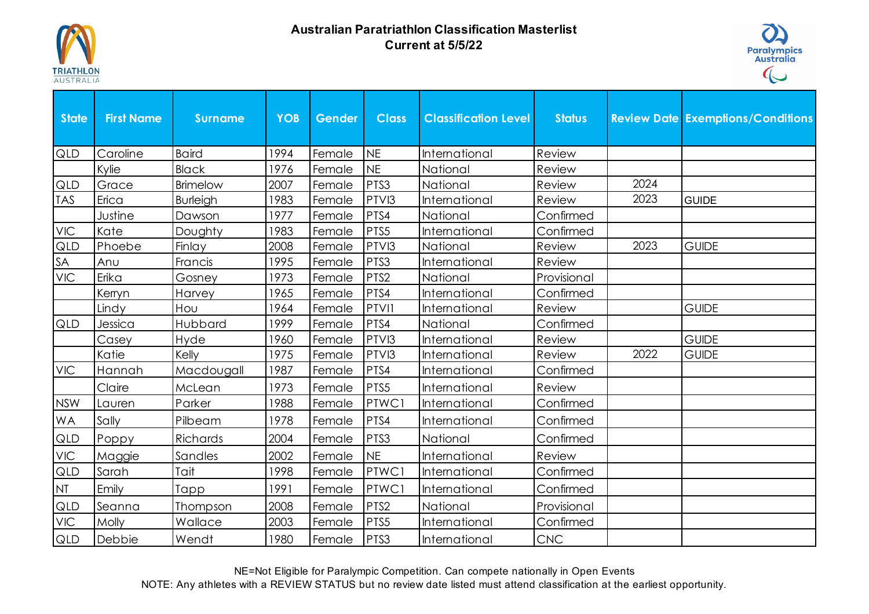

## **Australian Paratriathlon Classification Masterlist Current at 5/5/22**



| <b>State</b>                                                    | <b>First Name</b> | <b>Surname</b>  | <b>YOB</b> | Gender | <b>Class</b> | <b>Classification Level</b> | <b>Status</b> |      | <b>Review Date Exemptions/Conditions</b> |
|-----------------------------------------------------------------|-------------------|-----------------|------------|--------|--------------|-----------------------------|---------------|------|------------------------------------------|
| <b>QLD</b>                                                      | Caroline          | <b>Baird</b>    | 1994       | Female | <b>NE</b>    | International               | Review        |      |                                          |
|                                                                 | Kylie             | <b>Black</b>    | 1976       | Female | <b>NE</b>    | National                    | Review        |      |                                          |
| <b>QLD</b>                                                      | Grace             | Brimelow        | 2007       | Female | PTS3         | National                    | Review        | 2024 |                                          |
| <b>TAS</b>                                                      | Erica             | <b>Burleigh</b> | 1983       | Female | PTVI3        | International               | Review        | 2023 | <b>GUIDE</b>                             |
|                                                                 | Justine           | Dawson          | 1977       | Female | PTS4         | National                    | Confirmed     |      |                                          |
| $\ensuremath{\mathsf{V}}\xspace\ensuremath{\mathsf{IC}}\xspace$ | Kate              | Doughty         | 1983       | Female | PTS5         | <b>International</b>        | Confirmed     |      |                                          |
| QLD                                                             | Phoebe            | Finlay          | 2008       | Female | PTVI3        | National                    | Review        | 2023 | <b>GUIDE</b>                             |
| SA                                                              | Anu               | Francis         | 1995       | Female | PTS3         | <b>International</b>        | Review        |      |                                          |
| $\ensuremath{\mathsf{V}}\xspace\ensuremath{\mathsf{IC}}\xspace$ | Erika             | Gosney          | 1973       | Female | PTS2         | National                    | Provisional   |      |                                          |
|                                                                 | Kerryn            | Harvey          | 1965       | Female | PTS4         | International               | Confirmed     |      |                                          |
|                                                                 | Lindy             | Hou             | 1964       | Female | <b>PTVII</b> | International               | Review        |      | <b>GUIDE</b>                             |
| QLD                                                             | Jessica           | Hubbard         | 1999       | Female | PTS4         | National                    | Confirmed     |      |                                          |
|                                                                 | Casey             | Hyde            | 1960       | Female | PTVI3        | International               | Review        |      | <b>GUIDE</b>                             |
|                                                                 | Katie             | Kelly           | 1975       | Female | PTVI3        | <b>International</b>        | Review        | 2022 | <b>GUIDE</b>                             |
| <b>VIC</b>                                                      | Hannah            | Macdougall      | 1987       | Female | PTS4         | International               | Confirmed     |      |                                          |
|                                                                 | Claire            | McLean          | 1973       | Female | PTS5         | International               | Review        |      |                                          |
| <b>NSW</b>                                                      | Lauren            | Parker          | 1988       | Female | PTWC1        | International               | Confirmed     |      |                                          |
| WA                                                              | Sally             | Pilbeam         | 1978       | Female | PTS4         | International               | Confirmed     |      |                                          |
| QLD                                                             | Poppy             | Richards        | 2004       | Female | PTS3         | National                    | Confirmed     |      |                                          |
| <b>VIC</b>                                                      | Maggie            | Sandles         | 2002       | Female | <b>NE</b>    | <b>International</b>        | Review        |      |                                          |
| QLD                                                             | Sarah             | Tait            | 1998       | Female | PTWC1        | <b>International</b>        | Confirmed     |      |                                          |
| NI                                                              | Emily             | Tapp            | 1991       | Female | PTWC1        | International               | Confirmed     |      |                                          |
| QLD                                                             | Seanna            | Thompson        | 2008       | Female | PTS2         | National                    | Provisional   |      |                                          |
| <b>VIC</b>                                                      | Molly             | Wallace         | 2003       | Female | PTS5         | <b>International</b>        | Confirmed     |      |                                          |
| QLD                                                             | Debbie            | Wendt           | 1980       | Female | PTS3         | International               | <b>CNC</b>    |      |                                          |

NE=Not Eligible for Paralympic Competition. Can compete nationally in Open Events

NOTE: Any athletes with a REVIEW STATUS but no review date listed must attend classification at the earliest opportunity.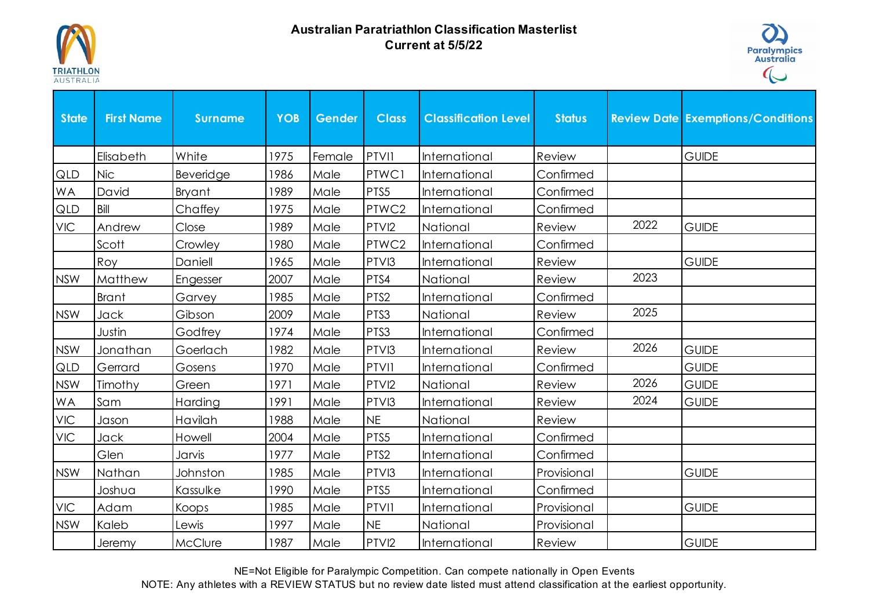

## **Australian Paratriathlon Classification Masterlist Current at 5/5/22**



| <b>State</b> | <b>First Name</b> | <b>Surname</b> | <b>YOB</b> | Gender | <b>Class</b>      | <b>Classification Level</b> | <b>Status</b> |      | <b>Review Date Exemptions/Conditions</b> |
|--------------|-------------------|----------------|------------|--------|-------------------|-----------------------------|---------------|------|------------------------------------------|
|              | Elisabeth         | White          | 1975       | Female | PTVI1             | International               | Review        |      | <b>GUIDE</b>                             |
| QLD          | <b>Nic</b>        | Beveridge      | 1986       | Male   | PTWC1             | International               | Confirmed     |      |                                          |
| <b>WA</b>    | David             | <b>Bryant</b>  | 1989       | Male   | PTS5              | International               | Confirmed     |      |                                          |
| QLD          | Bill              | Chaffey        | 1975       | Male   | PTWC2             | International               | Confirmed     |      |                                          |
| <b>VIC</b>   | Andrew            | Close          | 1989       | Male   | PTVI2             | National                    | Review        | 2022 | <b>GUIDE</b>                             |
|              | Scott             | Crowley        | 1980       | Male   | PTWC2             | International               | Confirmed     |      |                                          |
|              | Roy               | Daniell        | 1965       | Male   | PTVI3             | International               | Review        |      | <b>GUIDE</b>                             |
| <b>NSW</b>   | Matthew           | Engesser       | 2007       | Male   | PTS4              | National                    | Review        | 2023 |                                          |
|              | <b>Brant</b>      | Garvey         | 1985       | Male   | PTS2              | International               | Confirmed     |      |                                          |
| <b>NSW</b>   | Jack              | Gibson         | 2009       | Male   | PTS3              | National                    | Review        | 2025 |                                          |
|              | Justin            | Godfrey        | 1974       | Male   | PTS3              | International               | Confirmed     |      |                                          |
| <b>NSW</b>   | Jonathan          | Goerlach       | 1982       | Male   | PTVI3             | International               | Review        | 2026 | <b>GUIDE</b>                             |
| QLD          | Gerrard           | Gosens         | 1970       | Male   | <b>PTVII</b>      | International               | Confirmed     |      | <b>GUIDE</b>                             |
| <b>NSW</b>   | Timothy           | Green          | 1971       | Male   | PTVI2             | National                    | Review        | 2026 | <b>GUIDE</b>                             |
| WA           | Sam               | Harding        | 1991       | Male   | PTVI3             | International               | Review        | 2024 | <b>GUIDE</b>                             |
| <b>VIC</b>   | Jason             | Havilah        | 1988       | Male   | <b>NE</b>         | National                    | Review        |      |                                          |
| <b>VIC</b>   | Jack              | Howell         | 2004       | Male   | PTS5              | International               | Confirmed     |      |                                          |
|              | Glen              | Jarvis         | 1977       | Male   | PTS2              | International               | Confirmed     |      |                                          |
| <b>NSW</b>   | Nathan            | Johnston       | 1985       | Male   | PTVI3             | International               | Provisional   |      | <b>GUIDE</b>                             |
|              | Joshua            | Kassulke       | 1990       | Male   | PTS5              | International               | Confirmed     |      |                                          |
| <b>VIC</b>   | Adam              | Koops          | 1985       | Male   | PTVII             | International               | Provisional   |      | <b>GUIDE</b>                             |
| <b>NSW</b>   | Kaleb             | Lewis          | 1997       | Male   | <b>NE</b>         | National                    | Provisional   |      |                                          |
|              | Jeremy            | McClure        | 1987       | Male   | PTVI <sub>2</sub> | International               | Review        |      | <b>GUIDE</b>                             |

NE=Not Eligible for Paralympic Competition. Can compete nationally in Open Events

NOTE: Any athletes with a REVIEW STATUS but no review date listed must attend classification at the earliest opportunity.